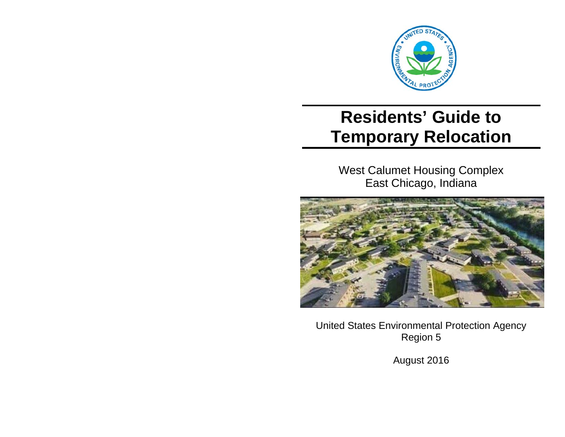

# **Residents' Guide to Temporary Relocation**

West Calumet Housing Complex East Chicago, Indiana



United States Environmental Protection Agency Region 5

August 2016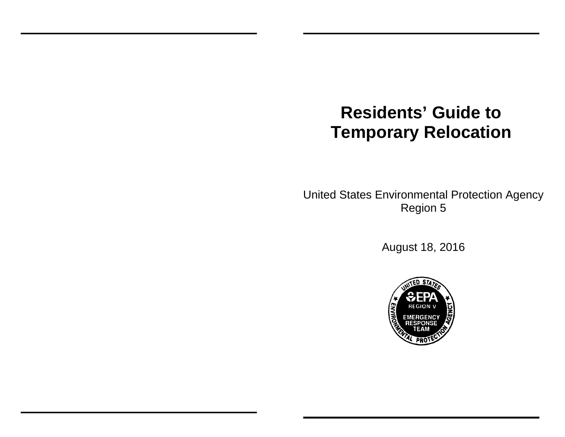# **Residents' Guide to Temporary Relocation**

United States Environmental Protection Agency Region 5

August 18, 2016

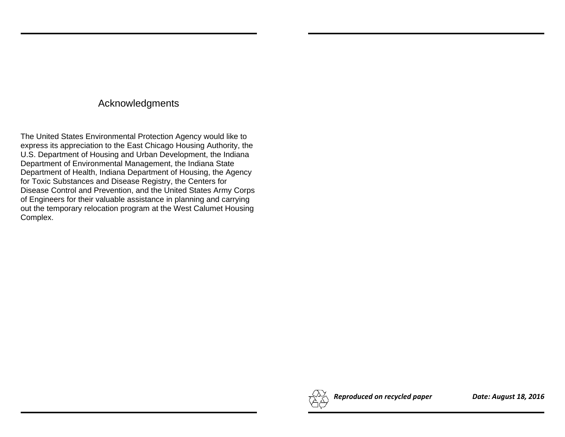# Acknowledgments

The United States Environmental Protection Agency would like to express its appreciation to the East Chicago Housing Authority, the U.S. Department of Housing and Urban Development, the Indiana Department of Environmental Management, the Indiana State Department of Health, Indiana Department of Housing, the Agency for Toxic Substances and Disease Registry, the Centers for Disease Control and Prevention, and the United States Army Corps of Engineers for their valuable assistance in planning and carrying out the temporary relocation program at the West Calumet Housing Complex.

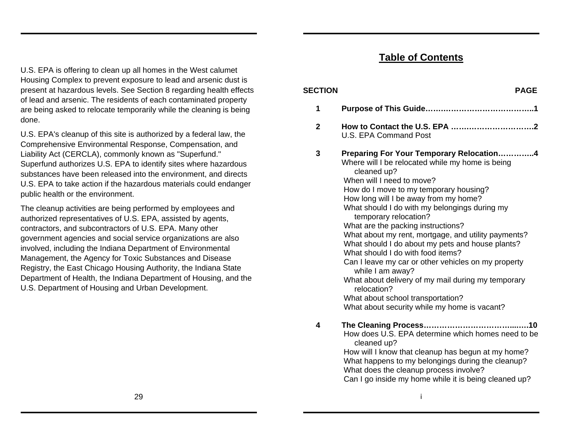# **Table of Contents**

**SECTION PAGE** 

U.S. EPA is offering to clean up all homes in the West calumet Housing Complex to prevent exposure to lead and arsenic dust is present at hazardous levels. See Section 8 regarding health effects of lead and arsenic. The residents of each contaminated property are being asked to relocate temporarily while the cleaning is being done.

U.S. EPA's cleanup of this site is authorized by a federal law, the Comprehensive Environmental Response, Compensation, and Liability Act (CERCLA), commonly known as "Superfund." Superfund authorizes U.S. EPA to identify sites where hazardous substances have been released into the environment, and directs U.S. EPA to take action if the hazardous materials could endanger public health or the environment.

The cleanup activities are being performed by employees and authorized representatives of U.S. EPA, assisted by agents, contractors, and subcontractors of U.S. EPA. Many other government agencies and social service organizations are also involved, including the Indiana Department of Environmental Management, the Agency for Toxic Substances and Disease Registry, the East Chicago Housing Authority, the Indiana State Department of Health, the Indiana Department of Housing, and the U.S. Department of Housing and Urban Development.

# **1 Purpose of This Guide…….……………………………..1 2 How to Contact the U.S. EPA …….…………………….2** U.S. EPA Command Post **3 Preparing For Your Temporary Relocation…………..4**  Where will I be relocated while my home is being cleaned up? When will I need to move?

How do I move to my temporary housing? How long will I be away from my home? What should I do with my belongings during my temporary relocation? What are the packing instructions? What about my rent, mortgage, and utility payments? What should I do about my pets and house plants? What should I do with food items? Can I leave my car or other vehicles on my property while I am away? What about delivery of my mail during my temporary relocation?

What about school transportation? What about security while my home is vacant?

**4 The Cleaning Process……………………………....….10**  How does U.S. EPA determine which homes need to be cleaned up? How will I know that cleanup has begun at my home?

What happens to my belongings during the cleanup? What does the cleanup process involve? Can I go inside my home while it is being cleaned up?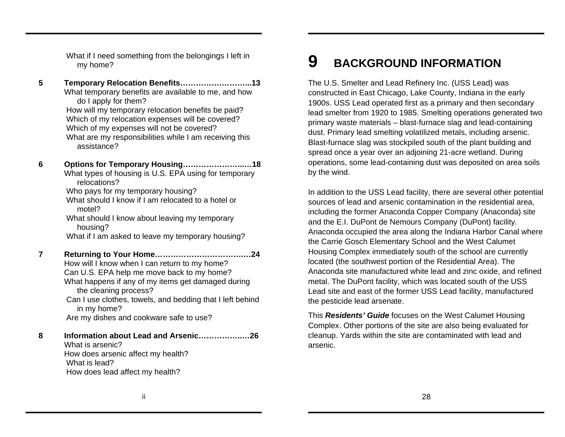What if I need something from the belongings I left in my home?

- **5 Temporary Relocation Benefits…………….………...13**  What temporary benefits are available to me, and how do I apply for them? How will my temporary relocation benefits be paid? Which of my relocation expenses will be covered? Which of my expenses will not be covered? What are my responsibilities while I am receiving this assistance?
- **6 Options for Temporary Housing…………………...…18**  What types of housing is U.S. EPA using for temporary relocations? Who pays for my temporary housing?

What should I know if I am relocated to a hotel or motel?

What should I know about leaving my temporary housing?

What if I am asked to leave my temporary housing?

**7 Returning to Your Home…………………………….…24**  How will I know when I can return to my home? Can U.S. EPA help me move back to my home? What happens if any of my items get damaged during the cleaning process? Can I use clothes, towels, and bedding that I left behind in my home? Are my dishes and cookware safe to use?

**8 Information about Lead and Arsenic……………..…26** What is arsenic? How does arsenic affect my health? What is lead? How does lead affect my health?

#### **9BACKGROUND INFORMATION**

The U.S. Smelter and Lead Refinery Inc. (USS Lead) was constructed in East Chicago, Lake County, Indiana in the early 1900s. USS Lead operated first as a primary and then secondary lead smelter from 1920 to 1985. Smelting operations generated two primary waste materials – blast-furnace slag and lead-containing dust. Primary lead smelting volatilized metals, including arsenic. Blast-furnace slag was stockpiled south of the plant building and spread once a year over an adjoining 21-acre wetland. During operations, some lead-containing dust was deposited on area soils by the wind.

In addition to the USS Lead facility, there are several other potential sources of lead and arsenic contamination in the residential area, including the former Anaconda Copper Company (Anaconda) site and the E.I. DuPont de Nemours Company (DuPont) facility. Anaconda occupied the area along the Indiana Harbor Canal where the Carrie Gosch Elementary School and the West Calumet Housing Complex immediately south of the school are currently located (the southwest portion of the Residential Area). The Anaconda site manufactured white lead and zinc oxide, and refined metal. The DuPont facility, which was located south of the USS Lead site and east of the former USS Lead facility, manufactured the pesticide lead arsenate.

This *Residents' Guide* focuses on the West Calumet Housing Complex. Other portions of the site are also being evaluated for cleanup. Yards within the site are contaminated with lead and arsenic.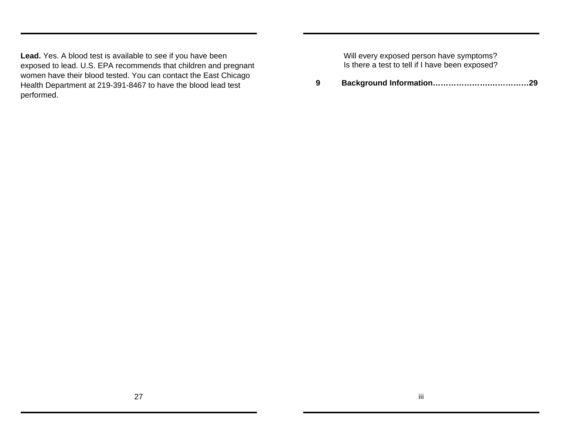**Lead.** Yes. A blood test is available to see if you have been exposed to lead. U.S. EPA recommends that children and pregnant women have their blood tested. You can contact the East Chicago Health Department at 219-391-8467 to have the blood lead test performed.

Will every exposed person have symptoms? Is there a test to tell if I have been exposed?

**9 Background Information………………….……………29**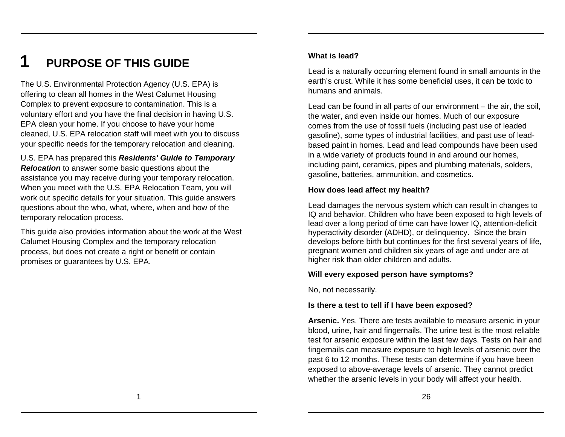# **1 PURPOSE OF THIS GUIDE**

The U.S. Environmental Protection Agency (U.S. EPA) is offering to clean all homes in the West Calumet Housing Complex to prevent exposure to contamination. This is a voluntary effort and you have the final decision in having U.S. EPA clean your home. If you choose to have your home cleaned, U.S. EPA relocation staff will meet with you to discuss your specific needs for the temporary relocation and cleaning.

U.S. EPA has prepared this *Residents' Guide to Temporary Relocation* to answer some basic questions about the assistance you may receive during your temporary relocation. When you meet with the U.S. EPA Relocation Team, you will work out specific details for your situation. This guide answers questions about the who, what, where, when and how of the temporary relocation process.

This guide also provides information about the work at the West Calumet Housing Complex and the temporary relocation process, but does not create a right or benefit or contain promises or guarantees by U.S. EPA.

### **What is lead?**

Lead is a naturally occurring element found in small amounts in the earth's crust. While it has some beneficial uses, it can be toxic to humans and animals.

Lead can be found in all parts of our environment – the air, the soil, the water, and even inside our homes. Much of our exposure comes from the use of fossil fuels (including past use of leaded gasoline), some types of industrial facilities, and past use of leadbased paint in homes. Lead and lead compounds have been used in a wide variety of products found in and around our homes, including paint, ceramics, pipes and plumbing materials, solders, gasoline, batteries, ammunition, and cosmetics.

#### **How does lead affect my health?**

Lead damages the nervous system which can result in changes to IQ and behavior. Children who have been exposed to high levels of lead over a long period of time can have lower IQ, attention-deficit hyperactivity disorder (ADHD), or delinquency. Since the brain develops before birth but continues for the first several years of life, pregnant women and children six years of age and under are at higher risk than older children and adults.

#### **Will every exposed person have symptoms?**

No, not necessarily.

#### **Is there a test to tell if I have been exposed?**

**Arsenic.** Yes. There are tests available to measure arsenic in your blood, urine, hair and fingernails. The urine test is the most reliable test for arsenic exposure within the last few days. Tests on hair and fingernails can measure exposure to high levels of arsenic over the past 6 to 12 months. These tests can determine if you have been exposed to above-average levels of arsenic. They cannot predict whether the arsenic levels in your body will affect your health.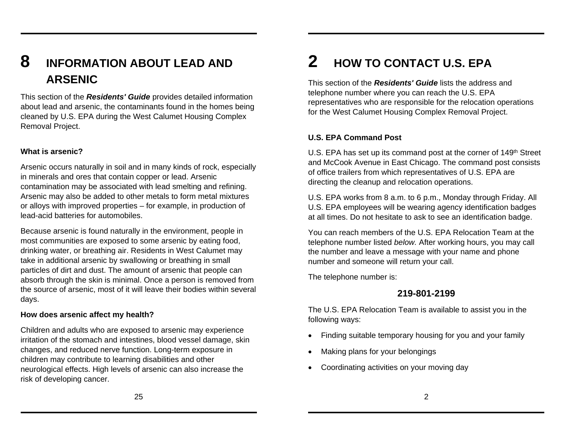# **8 INFORMATION ABOUT LEAD AND ARSENIC**

This section of the *Residents' Guide* provides detailed information about lead and arsenic, the contaminants found in the homes being cleaned by U.S. EPA during the West Calumet Housing Complex Removal Project.

#### **What is arsenic?**

Arsenic occurs naturally in soil and in many kinds of rock, especially in minerals and ores that contain copper or lead. Arsenic contamination may be associated with lead smelting and refining. Arsenic may also be added to other metals to form metal mixtures or alloys with improved properties – for example, in production of lead-acid batteries for automobiles.

Because arsenic is found naturally in the environment, people in most communities are exposed to some arsenic by eating food, drinking water, or breathing air. Residents in West Calumet may take in additional arsenic by swallowing or breathing in small particles of dirt and dust. The amount of arsenic that people can absorb through the skin is minimal. Once a person is removed from the source of arsenic, most of it will leave their bodies within several days.

#### **How does arsenic affect my health?**

Children and adults who are exposed to arsenic may experience irritation of the stomach and intestines, blood vessel damage, skin changes, and reduced nerve function. Long-term exposure in children may contribute to learning disabilities and other neurological effects. High levels of arsenic can also increase the risk of developing cancer.

# **2 HOW TO CONTACT U.S. EPA**

This section of the *Residents' Guide* lists the address and telephone number where you can reach the U.S. EPA representatives who are responsible for the relocation operations for the West Calumet Housing Complex Removal Project.

### **U.S. EPA Command Post**

U.S. EPA has set up its command post at the corner of 149<sup>th</sup> Street and McCook Avenue in East Chicago. The command post consists of office trailers from which representatives of U.S. EPA are directing the cleanup and relocation operations.

U.S. EPA works from 8 a.m. to 6 p.m., Monday through Friday. All U.S. EPA employees will be wearing agency identification badges at all times. Do not hesitate to ask to see an identification badge.

You can reach members of the U.S. EPA Relocation Team at the telephone number listed *below.* After working hours, you may call the number and leave a message with your name and phone number and someone will return your call.

The telephone number is:

# **219-801-2199**

The U.S. EPA Relocation Team is available to assist you in the following ways:

- Finding suitable temporary housing for you and your family
- Making plans for your belongings
- Coordinating activities on your moving day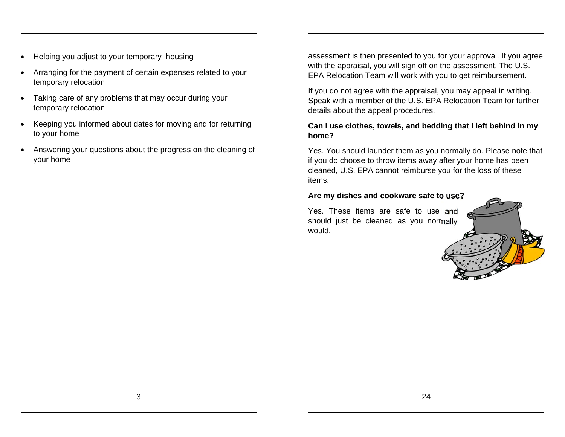- Helping you adjust to your temporary housing
- Arranging for the payment of certain expenses related to your temporary relocation
- Taking care of any problems that may occur during your temporary relocation
- Keeping you informed about dates for moving and for returning to your home
- Answering your questions about the progress on the cleaning of your home

assessment is then presented to you for your approval. If you agree with the appraisal, you will sign off on the assessment. The U.S. EPA Relocation Team will work with you to get reimbursement.

If you do not agree with the appraisal, you may appeal in writing. Speak with a member of the U.S. EPA Relocation Team for further details about the appeal procedures.

#### **Can I use clothes, towels, and bedding that I left behind in my home?**

Yes. You should launder them as you normally do. Please note that if you do choose to throw items away after your home has been cleaned, U.S. EPA cannot reimburse you for the loss of these items.

#### **Are my dishes and cookware safe to use?**

Yes. These items are safe to use and should just be cleaned as you normally would.

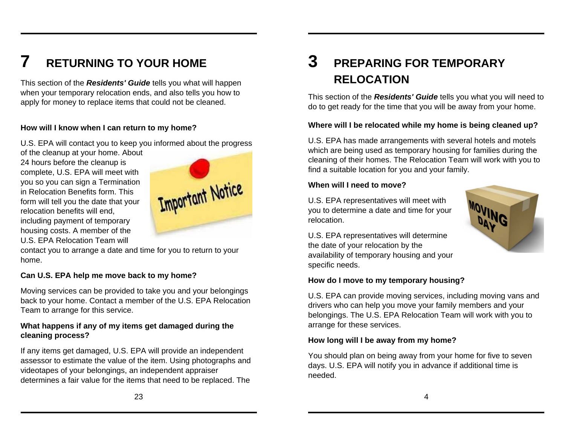# **7 RETURNING TO YOUR HOME**

This section of the *Residents' Guide* tells you what will happen when your temporary relocation ends, and also tells you how to apply for money to replace items that could not be cleaned.

### **How will I know when I can return to my home?**

U.S. EPA will contact you to keep you informed about the progress

of the cleanup at your home. About 24 hours before the cleanup is complete, U.S. EPA will meet with you so you can sign a Termination in Relocation Benefits form. This form will tell you the date that your relocation benefits will end, including payment of temporary housing costs. A member of the U.S. EPA Relocation Team will



contact you to arrange a date and time for you to return to your home.

### **Can U.S. EPA help me move back to my home?**

Moving services can be provided to take you and your belongings back to your home. Contact a member of the U.S. EPA Relocation Team to arrange for this service.

### **What happens if any of my items get damaged during the cleaning process?**

If any items get damaged, U.S. EPA will provide an independent assessor to estimate the value of the item. Using photographs and videotapes of your belongings, an independent appraiser determines a fair value for the items that need to be replaced. The

# **3 PREPARING FOR TEMPORARY RELOCATION**

This section of the *Residents' Guide* tells you what you will need to do to get ready for the time that you will be away from your home.

### **Where will I be relocated while my home is being cleaned up?**

U.S. EPA has made arrangements with several hotels and motels which are being used as temporary housing for families during the cleaning of their homes. The Relocation Team will work with you to find a suitable location for you and your family.

#### **When will I need to move?**

U.S. EPA representatives will meet with you to determine a date and time for your relocation.



U.S. EPA representatives will determine the date of your relocation by the availability of temporary housing and your specific needs.

#### **How do I move to my temporary housing?**

U.S. EPA can provide moving services, including moving vans and drivers who can help you move your family members and your belongings. The U.S. EPA Relocation Team will work with you to arrange for these services.

#### **How long will I be away from my home?**

You should plan on being away from your home for five to seven days. U.S. EPA will notify you in advance if additional time is needed.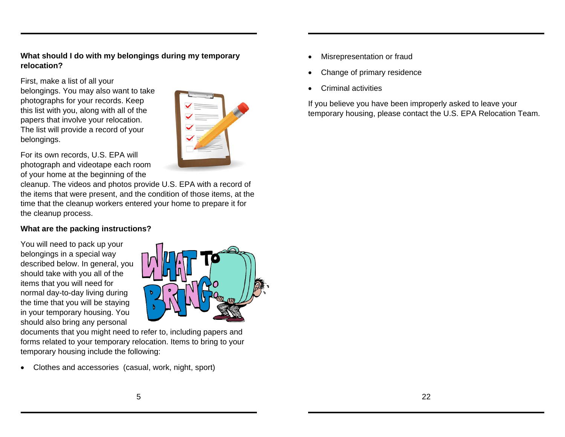#### **What should I do with my belongings during my temporary relocation?**

First, make a list of all your belongings. You may also want to take photographs for your records. Keep this list with you, along with all of the papers that involve your relocation. The list will provide a record of your belongings.



For its own records, U.S. EPA will photograph and videotape each room of your home at the beginning of the

cleanup. The videos and photos provide U.S. EPA with a record of the items that were present, and the condition of those items, at the time that the cleanup workers entered your home to prepare it for the cleanup process.

### **What are the packing instructions?**

You will need to pack up your belongings in a special way described below. In general, you should take with you all of the items that you will need for normal day-to-day living during the time that you will be staying in your temporary housing. You should also bring any personal



documents that you might need to refer to, including papers and forms related to your temporary relocation. Items to bring to your temporary housing include the following:

Clothes and accessories (casual, work, night, sport)

- Misrepresentation or fraud
- Change of primary residence
- Criminal activities

If you believe you have been improperly asked to leave your temporary housing, please contact the U.S. EPA Relocation Team.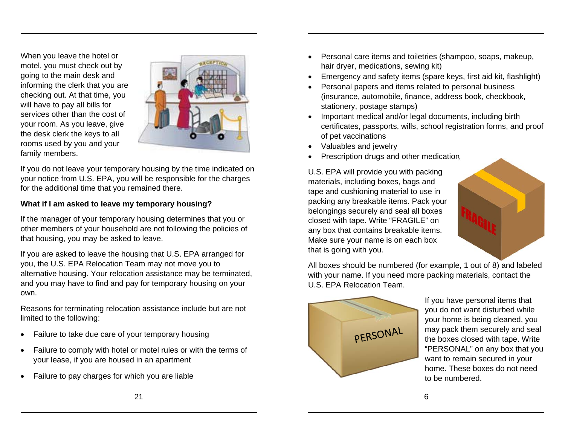When you leave the hotel or motel, you must check out by going to the main desk and informing the clerk that you are checking out. At that time, you will have to pay all bills for services other than the cost of your room. As you leave, give the desk clerk the keys to all rooms used by you and your family members.



If you do not leave your temporary housing by the time indicated on your notice from U.S. EPA, you will be responsible for the charges for the additional time that you remained there.

#### **What if I am asked to leave my temporary housing?**

If the manager of your temporary housing determines that you or other members of your household are not following the policies of that housing, you may be asked to leave.

If you are asked to leave the housing that U.S. EPA arranged for you, the U.S. EPA Relocation Team may not move you to alternative housing. Your relocation assistance may be terminated, and you may have to find and pay for temporary housing on your own.

Reasons for terminating relocation assistance include but are not limited to the following:

- Failure to take due care of your temporary housing
- Failure to comply with hotel or motel rules or with the terms of your lease, if you are housed in an apartment
- Failure to pay charges for which you are liable
- Personal care items and toiletries (shampoo, soaps, makeup, hair dryer, medications, sewing kit)
- Emergency and safety items (spare keys, first aid kit, flashlight)
- Personal papers and items related to personal business (insurance, automobile, finance, address book, checkbook, stationery, postage stamps)
- Important medical and/or legal documents, including birth certificates, passports, wills, school registration forms, and proof of pet vaccinations
- Valuables and jewelry
- Prescription drugs and other medication

U.S. EPA will provide you with packing materials, including boxes, bags and tape and cushioning material to use in packing any breakable items. Pack your belongings securely and seal all boxes closed with tape. Write "FRAGILE" on any box that contains breakable items. Make sure your name is on each box that is going with you.



All boxes should be numbered (for example, 1 out of 8) and labeled with your name. If you need more packing materials, contact the U.S. EPA Relocation Team.



If you have personal items that you do not want disturbed while your home is being cleaned, you may pack them securely and seal the boxes closed with tape. Write "PERSONAL" on any box that you want to remain secured in your home. These boxes do not need to be numbered.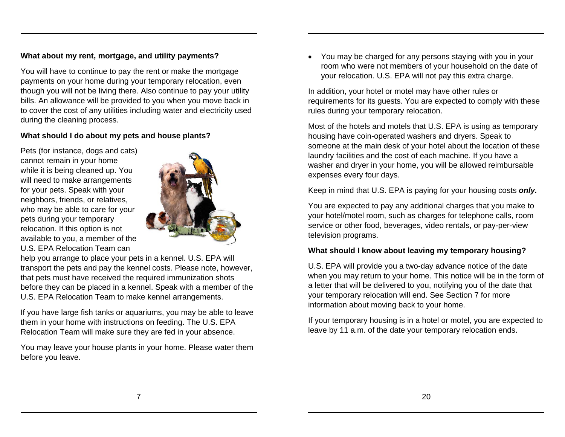### **What about my rent, mortgage, and utility payments?**

You will have to continue to pay the rent or make the mortgage payments on your home during your temporary relocation, even though you will not be living there. Also continue to pay your utility bills. An allowance will be provided to you when you move back in to cover the cost of any utilities including water and electricity used during the cleaning process.

#### **What should I do about my pets and house plants?**

Pets (for instance, dogs and cats) cannot remain in your home while it is being cleaned up. You will need to make arrangements for your pets. Speak with your neighbors, friends, or relatives, who may be able to care for your pets during your temporary relocation. If this option is not available to you, a member of the U.S. EPA Relocation Team can



help you arrange to place your pets in a kennel. U.S. EPA will transport the pets and pay the kennel costs. Please note, however, that pets must have received the required immunization shots before they can be placed in a kennel. Speak with a member of the U.S. EPA Relocation Team to make kennel arrangements.

If you have large fish tanks or aquariums, you may be able to leave them in your home with instructions on feeding. The U.S. EPA Relocation Team will make sure they are fed in your absence.

You may leave your house plants in your home. Please water them before you leave.

 You may be charged for any persons staying with you in your room who were not members of your household on the date of your relocation. U.S. EPA will not pay this extra charge.

In addition, your hotel or motel may have other rules or requirements for its guests. You are expected to comply with these rules during your temporary relocation.

Most of the hotels and motels that U.S. EPA is using as temporary housing have coin-operated washers and dryers. Speak to someone at the main desk of your hotel about the location of these laundry facilities and the cost of each machine. If you have a washer and dryer in your home, you will be allowed reimbursable expenses every four days.

Keep in mind that U.S. EPA is paying for your housing costs *only.*

You are expected to pay any additional charges that you make to your hotel/motel room, such as charges for telephone calls, room service or other food, beverages, video rentals, or pay-per-view television programs.

### **What should I know about leaving my temporary housing?**

U.S. EPA will provide you a two-day advance notice of the date when you may return to your home. This notice will be in the form of a letter that will be delivered to you, notifying you of the date that your temporary relocation will end. See Section 7 for more information about moving back to your home.

If your temporary housing is in a hotel or motel, you are expected to leave by 11 a.m. of the date your temporary relocation ends.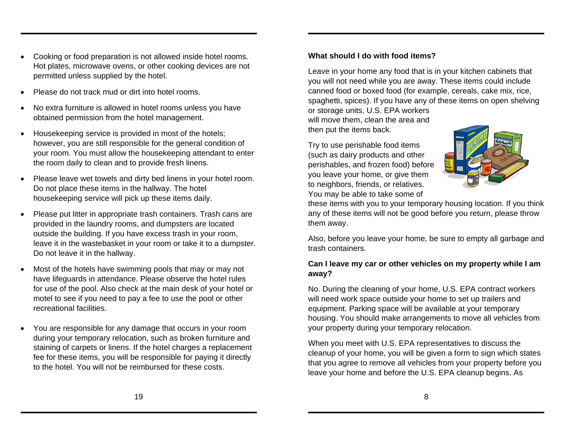Please put litter in appropriate trash containers. Trash cans are provided in the laundry rooms, and dumpsters are located

outside the building. If you have excess trash in your room, leave it in the wastebasket in your room or take it to a dumpster. Do not leave it in the hallway.

Please leave wet towels and dirty bed linens in your hotel room.

 Cooking or food preparation is not allowed inside hotel rooms. Hot plates, microwave ovens, or other cooking devices are not

No extra furniture is allowed in hotel rooms unless you have

 Housekeeping service is provided in most of the hotels; however, you are still responsible for the general condition of your room. You must allow the housekeeping attendant to enter

permitted unless supplied by the hotel.

Please do not track mud or dirt into hotel rooms.

obtained permission from the hotel management.

the room daily to clean and to provide fresh linens.

Do not place these items in the hallway. The hotel housekeeping service will pick up these items daily.

 Most of the hotels have swimming pools that may or may not have lifeguards in attendance. Please observe the hotel rules for use of the pool. Also check at the main desk of your hotel or motel to see if you need to pay a fee to use the pool or other recreational facilities.

 You are responsible for any damage that occurs in your room during your temporary relocation, such as broken furniture and staining of carpets or linens. If the hotel charges a replacement fee for these items, you will be responsible for paying it directly to the hotel. You will not be reimbursed for these costs.

**What should I do with food items?**

Leave in your home any food that is in your kitchen cabinets that you will not need while you are away. These items could include canned food or boxed food (for example, cereals, cake mix, rice, spaghetti, spices). If you have any of these items on open shelving

or storage units, U.S. EPA workers will move them, clean the area and then put the items back.

Try to use perishable food items (such as dairy products and other perishables, and frozen food) before you leave your home, or give them to neighbors, friends, or relatives. You may be able to take some of

these items with you to your temporary housing location. If you think any of these items will not be good before you return, please throw them away.

Also, before you leave your home, be sure to empty all garbage and trash containers.

#### **Can I leave my car or other vehicles on my property while I am away?**

No. During the cleaning of your home, U.S. EPA contract workers will need work space outside your home to set up trailers and equipment. Parking space will be available at your temporary housing. You should make arrangements to move all vehicles from your property during your temporary relocation.

When you meet with U.S. EPA representatives to discuss the cleanup of your home, you will be given a form to sign which states that you agree to remove all vehicles from your property before you leave your home and before the U.S. EPA cleanup begins. As

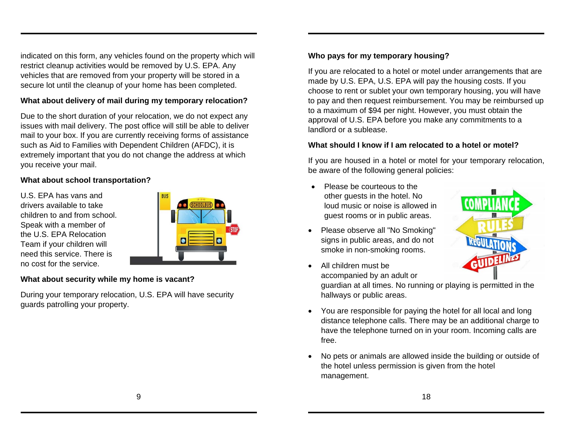indicated on this form, any vehicles found on the property which will restrict cleanup activities would be removed by U.S. EPA. Any vehicles that are removed from your property will be stored in a secure lot until the cleanup of your home has been completed.

### **What about delivery of mail during my temporary relocation?**

Due to the short duration of your relocation, we do not expect any issues with mail delivery. The post office will still be able to deliver mail to your box. If you are currently receiving forms of assistance such as Aid to Families with Dependent Children (AFDC), it is extremely important that you do not change the address at which you receive your mail.

### **What about school transportation?**

U.S. EPA has vans and drivers available to take children to and from school. Speak with a member of the U.S. EPA Relocation Team if your children will need this service. There is no cost for the service.

| <b>COLOR</b><br>SCHOOLBUS        |
|----------------------------------|
|                                  |
| STOP<br>$\blacksquare$<br>$\Box$ |
|                                  |

#### **What about security while my home is vacant?**

During your temporary relocation, U.S. EPA will have security guards patrolling your property.

# **Who pays for my temporary housing?**

If you are relocated to a hotel or motel under arrangements that are made by U.S. EPA, U.S. EPA will pay the housing costs. If you choose to rent or sublet your own temporary housing, you will have to pay and then request reimbursement. You may be reimbursed up to a maximum of \$94 per night. However, you must obtain the approval of U.S. EPA before you make any commitments to a landlord or a sublease.

#### **What should I know if I am relocated to a hotel or motel?**

If you are housed in a hotel or motel for your temporary relocation, be aware of the following general policies:

- Please be courteous to the other guests in the hotel. No loud music or noise is allowed in guest rooms or in public areas.
- Please observe all "No Smoking" signs in public areas, and do not smoke in non-smoking rooms.
- All children must be accompanied by an adult or

guardian at all times. No running or playing is permitted in the hallways or public areas.

- You are responsible for paying the hotel for all local and long distance telephone calls. There may be an additional charge to have the telephone turned on in your room. Incoming calls are free.
- No pets or animals are allowed inside the building or outside of the hotel unless permission is given from the hotel management.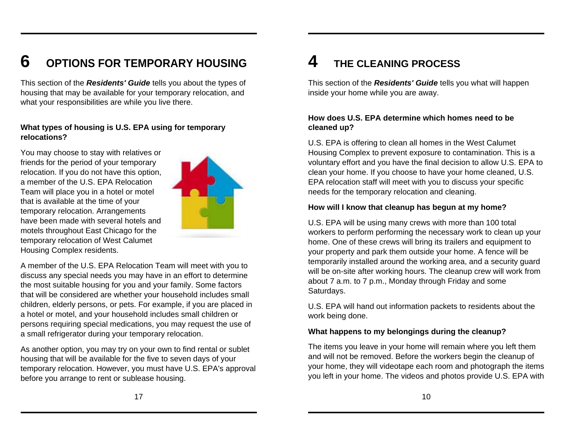#### **6OPTIONS FOR TEMPORARY HOUSING**

This section of the *Residents' Guide* tells you about the types of housing that may be available for your temporary relocation, and what your responsibilities are while you live there.

#### **What types of housing is U.S. EPA using for temporary relocations?**

You may choose to stay with relatives or friends for the period of your temporary relocation. If you do not have this option, a member of the U.S. EPA Relocation Team will place you in a hotel or motel that is available at the time of your temporary relocation. Arrangements have been made with several hotels and motels throughout East Chicago for the temporary relocation of West Calumet Housing Complex residents.



A member of the U.S. EPA Relocation Team will meet with you to discuss any special needs you may have in an effort to determine the most suitable housing for you and your family. Some factors that will be considered are whether your household includes small children, elderly persons, or pets. For example, if you are placed in a hotel or motel, and your household includes small children or persons requiring special medications, you may request the use of a small refrigerator during your temporary relocation.

As another option, you may try on your own to find rental or sublet housing that will be available for the five to seven days of your temporary relocation. However, you must have U.S. EPA's approval before you arrange to rent or sublease housing.

# **4 THE CLEANING PROCESS**

This section of the *Residents' Guide* tells you what will happen inside your home while you are away.

### **How does U.S. EPA determine which homes need to be cleaned up?**

U.S. EPA is offering to clean all homes in the West Calumet Housing Complex to prevent exposure to contamination. This is a voluntary effort and you have the final decision to allow U.S. EPA to clean your home. If you choose to have your home cleaned, U.S. EPA relocation staff will meet with you to discuss your specific needs for the temporary relocation and cleaning.

#### **How will I know that cleanup has begun at my home?**

U.S. EPA will be using many crews with more than 100 total workers to perform performing the necessary work to clean up your home. One of these crews will bring its trailers and equipment to your property and park them outside your home. A fence will be temporarily installed around the working area, and a security guard will be on-site after working hours. The cleanup crew will work from about 7 a.m. to 7 p.m., Monday through Friday and some Saturdays.

U.S. EPA will hand out information packets to residents about the work being done.

#### **What happens to my belongings during the cleanup?**

The items you leave in your home will remain where you left them and will not be removed. Before the workers begin the cleanup of your home, they will videotape each room and photograph the items you left in your home. The videos and photos provide U.S. EPA with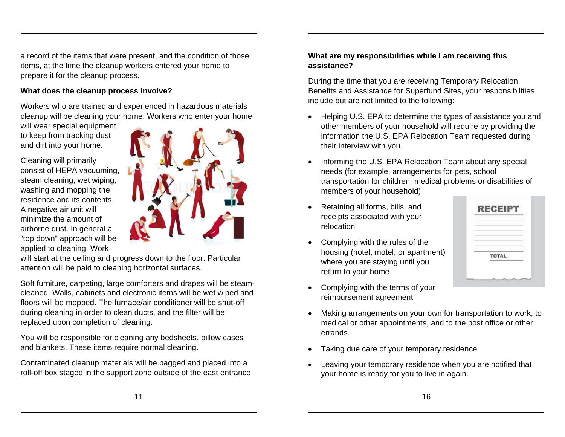a record of the items that were present, and the condition of those items, at the time the cleanup workers entered your home to prepare it for the cleanup process.

#### **What does the cleanup process involve?**

Workers who are trained and experienced in hazardous materials cleanup will be cleaning your home. Workers who enter your home

will wear special equipment to keep from tracking dust and dirt into your home.

Cleaning will primarily consist of HEPA vacuuming, steam cleaning, wet wiping, washing and mopping the residence and its contents. A negative air unit will minimize the amount of airborne dust. In general a "top down" approach will be applied to cleaning. Work

will start at the ceiling and progress down to the floor. Particular attention will be paid to cleaning horizontal surfaces.

Soft furniture, carpeting, large comforters and drapes will be steamcleaned. Walls, cabinets and electronic items will be wet wiped and floors will be mopped. The furnace/air conditioner will be shut-off during cleaning in order to clean ducts, and the filter will be replaced upon completion of cleaning.

You will be responsible for cleaning any bedsheets, pillow cases and blankets. These items require normal cleaning.

Contaminated cleanup materials will be bagged and placed into a roll-off box staged in the support zone outside of the east entrance

#### **What are my responsibilities while I am receiving this assistance?**

During the time that you are receiving Temporary Relocation Benefits and Assistance for Superfund Sites, your responsibilities include but are not limited to the following:

- Helping U.S. EPA to determine the types of assistance you and other members of your household will require by providing the information the U.S. EPA Relocation Team requested during their interview with you.
- Informing the U.S. EPA Relocation Team about any special needs (for example, arrangements for pets, school transportation for children, medical problems or disabilities of members of your household)
- Retaining all forms, bills, and receipts associated with your relocation
- Complying with the rules of the housing (hotel, motel, or apartment) where you are staying until you return to your home
- RECEIR TOTAL
- Complying with the terms of your reimbursement agreement
- Making arrangements on your own for transportation to work, to medical or other appointments, and to the post office or other errands.
- Taking due care of your temporary residence
- Leaving your temporary residence when you are notified that your home is ready for you to live in again.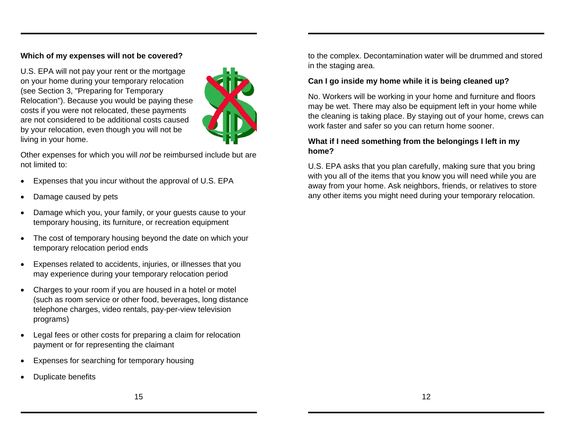#### **Which of my expenses will not be covered?**

U.S. EPA will not pay your rent or the mortgage on your home during your temporary relocation (see Section 3, "Preparing for Temporary Relocation"). Because you would be paying these costs if you were not relocated, these payments are not considered to be additional costs caused by your relocation, even though you will not be living in your home.



Other expenses for which you will *not* be reimbursed include but are not limited to:

- Expenses that you incur without the approval of U.S. EPA
- Damage caused by pets
- Damage which you, your family, or your guests cause to your temporary housing, its furniture, or recreation equipment
- The cost of temporary housing beyond the date on which your temporary relocation period ends
- Expenses related to accidents, injuries, or illnesses that you may experience during your temporary relocation period
- Charges to your room if you are housed in a hotel or motel (such as room service or other food, beverages, long distance telephone charges, video rentals, pay-per-view television programs)
- Legal fees or other costs for preparing a claim for relocation payment or for representing the claimant
- Expenses for searching for temporary housing
- Duplicate benefits

to the complex. Decontamination water will be drummed and stored in the staging area.

#### **Can I go inside my home while it is being cleaned up?**

No. Workers will be working in your home and furniture and floors may be wet. There may also be equipment left in your home while the cleaning is taking place. By staying out of your home, crews can work faster and safer so you can return home sooner.

#### **What if I need something from the belongings I left in my home?**

U.S. EPA asks that you plan carefully, making sure that you bring with you all of the items that you know you will need while you are away from your home. Ask neighbors, friends, or relatives to store any other items you might need during your temporary relocation.